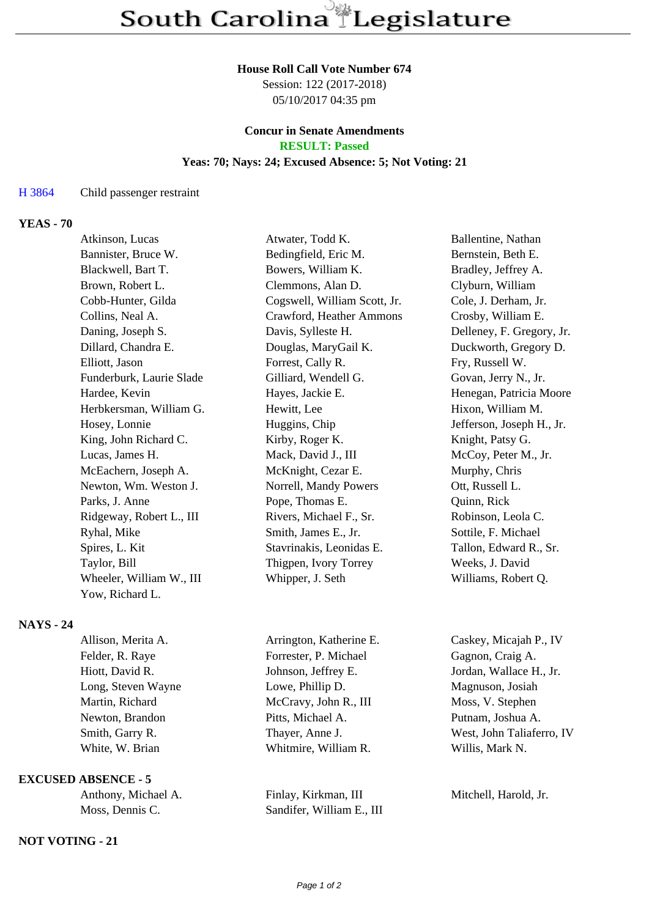#### **House Roll Call Vote Number 674**

Session: 122 (2017-2018) 05/10/2017 04:35 pm

## **Concur in Senate Amendments RESULT: Passed**

# **Yeas: 70; Nays: 24; Excused Absence: 5; Not Voting: 21**

## H 3864 Child passenger restraint

## **YEAS - 70**

| Atwater, Todd K.             | Ballentine, Nathan        |
|------------------------------|---------------------------|
| Bedingfield, Eric M.         | Bernstein, Beth E.        |
| Bowers, William K.           | Bradley, Jeffrey A.       |
| Clemmons, Alan D.            | Clyburn, William          |
| Cogswell, William Scott, Jr. | Cole, J. Derham, Jr.      |
| Crawford, Heather Ammons     | Crosby, William E.        |
| Davis, Sylleste H.           | Delleney, F. Gregory, Jr. |
| Douglas, MaryGail K.         | Duckworth, Gregory D.     |
| Forrest, Cally R.            | Fry, Russell W.           |
| Gilliard, Wendell G.         | Govan, Jerry N., Jr.      |
| Hayes, Jackie E.             | Henegan, Patricia Moore   |
| Hewitt, Lee                  | Hixon, William M.         |
| Huggins, Chip                | Jefferson, Joseph H., Jr. |
| Kirby, Roger K.              | Knight, Patsy G.          |
| Mack, David J., III          | McCoy, Peter M., Jr.      |
| McKnight, Cezar E.           | Murphy, Chris             |
| Norrell, Mandy Powers        | Ott, Russell L.           |
| Pope, Thomas E.              | Quinn, Rick               |
| Rivers, Michael F., Sr.      | Robinson, Leola C.        |
| Smith, James E., Jr.         | Sottile, F. Michael       |
| Stavrinakis, Leonidas E.     | Tallon, Edward R., Sr.    |
| Thigpen, Ivory Torrey        | Weeks, J. David           |
| Whipper, J. Seth             | Williams, Robert Q.       |
|                              |                           |
|                              |                           |

## **NAYS - 24**

| Allison, Merita A. | Arrington, Katherine E. | Caskey, Micajah P., IV    |
|--------------------|-------------------------|---------------------------|
| Felder, R. Raye    | Forrester, P. Michael   | Gagnon, Craig A.          |
| Hiott, David R.    | Johnson, Jeffrey E.     | Jordan, Wallace H., Jr.   |
| Long, Steven Wayne | Lowe, Phillip D.        | Magnuson, Josiah          |
| Martin, Richard    | McCravy, John R., III   | Moss, V. Stephen          |
| Newton, Brandon    | Pitts, Michael A.       | Putnam, Joshua A.         |
| Smith, Garry R.    | Thayer, Anne J.         | West, John Taliaferro, IV |
| White, W. Brian    | Whitmire, William R.    | Willis, Mark N.           |
|                    |                         |                           |

## **EXCUSED ABSENCE - 5**

| Anthony, Michael A. |
|---------------------|
| Moss, Dennis C.     |

### **NOT VOTING - 21**

Finlay, Kirkman, III Mitchell, Harold, Jr. Sandifer, William E., III